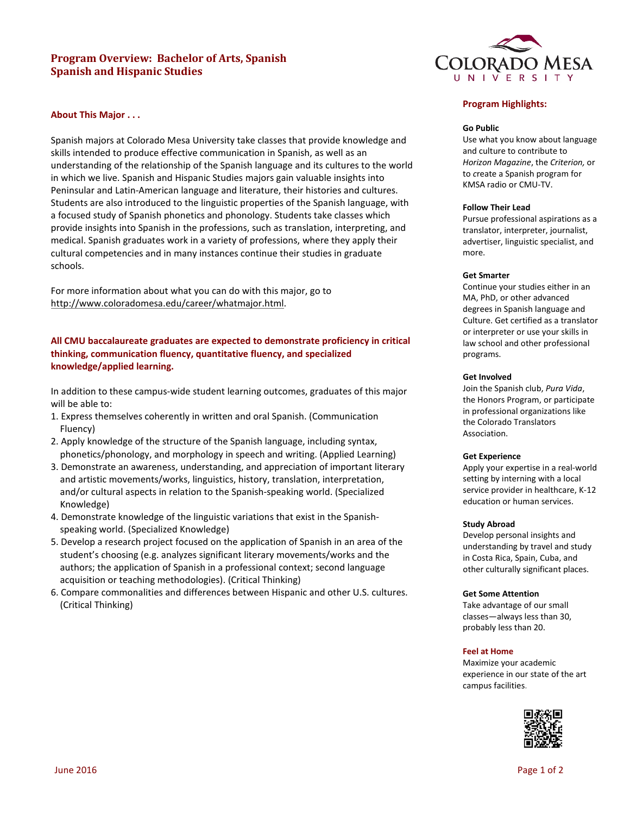# **Program Overview: Bachelor of Arts, Spanish Spanish and Hispanic Studies**



# **About This Major . . .**

Spanish majors at Colorado Mesa University take classes that provide knowledge and skills intended to produce effective communication in Spanish, as well as an understanding of the relationship of the Spanish language and its cultures to the world in which we live. Spanish and Hispanic Studies majors gain valuable insights into Peninsular and Latin-American language and literature, their histories and cultures. Students are also introduced to the linguistic properties of the Spanish language, with a focused study of Spanish phonetics and phonology. Students take classes which provide insights into Spanish in the professions, such as translation, interpreting, and medical. Spanish graduates work in a variety of professions, where they apply their cultural competencies and in many instances continue their studies in graduate schools.

For more information about what you can do with this major, go to [http://www.coloradomesa.edu/career/whatmajor.html.](http://www.coloradomesa.edu/career/whatmajor.html)

# **All CMU baccalaureate graduates are expected to demonstrate proficiency in critical thinking, communication fluency, quantitative fluency, and specialized knowledge/applied learning.**

In addition to these campus-wide student learning outcomes, graduates of this major will be able to:

- 1. Express themselves coherently in written and oral Spanish. (Communication Fluency)
- 2. Apply knowledge of the structure of the Spanish language, including syntax, phonetics/phonology, and morphology in speech and writing. (Applied Learning)
- 3. Demonstrate an awareness, understanding, and appreciation of important literary and artistic movements/works, linguistics, history, translation, interpretation, and/or cultural aspects in relation to the Spanish-speaking world. (Specialized Knowledge)
- 4. Demonstrate knowledge of the linguistic variations that exist in the Spanishspeaking world. (Specialized Knowledge)
- 5. Develop a research project focused on the application of Spanish in an area of the student's choosing (e.g. analyzes significant literary movements/works and the authors; the application of Spanish in a professional context; second language acquisition or teaching methodologies). (Critical Thinking)
- 6. Compare commonalities and differences between Hispanic and other U.S. cultures. (Critical Thinking)

# **Program Highlights:**

### **Go Public**

Use what you know about language and culture to contribute to *Horizon Magazine*, the *Criterion,* or to *c*reate a Spanish program for KMSA radio or CMU-TV.

#### **Follow Their Lead**

Pursue professional aspirations as a translator, interpreter, journalist, advertiser, linguistic specialist, and more.

#### **Get Smarter**

Continue your studies either in an MA, PhD, or other advanced degrees in Spanish language and Culture. Get certified as a translator or interpreter or use your skills in law school and other professional programs.

## **Get Involved**

Join the Spanish club, *Pura Vida*, the Honors Program, or participate in professional organizations like the Colorado Translators Association.

## **Get Experience**

Apply your expertise in a real-world setting by interning with a local service provider in healthcare, K-12 education or human services.

#### **Study Abroad**

Develop personal insights and understanding by travel and study in Costa Rica, Spain, Cuba, and other culturally significant places.

### **Get Some Attention**

Take advantage of our small classes—always less than 30, probably less than 20.

## **Feel at Home**

Maximize your academic experience in our state of the art campus facilities.